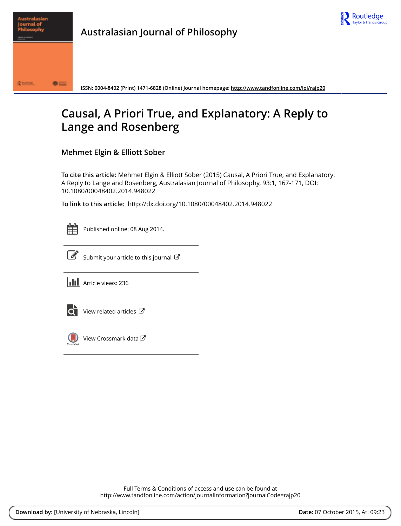

R human **e 22** 

**ISSN: 0004-8402 (Print) 1471-6828 (Online) Journal homepage:<http://www.tandfonline.com/loi/rajp20>**

# **Causal, A Priori True, and Explanatory: A Reply to Lange and Rosenberg**

**Mehmet Elgin & Elliott Sober**

**To cite this article:** Mehmet Elgin & Elliott Sober (2015) Causal, A Priori True, and Explanatory: A Reply to Lange and Rosenberg, Australasian Journal of Philosophy, 93:1, 167-171, DOI: [10.1080/00048402.2014.948022](http://www.tandfonline.com/action/showCitFormats?doi=10.1080/00048402.2014.948022)

**To link to this article:** <http://dx.doi.org/10.1080/00048402.2014.948022>



Published online: 08 Aug 2014.



 $\overline{\mathscr{L}}$  [Submit your article to this journal](http://www.tandfonline.com/action/authorSubmission?journalCode=rajp20&page=instructions)  $\mathbb{F}$ 





[View related articles](http://www.tandfonline.com/doi/mlt/10.1080/00048402.2014.948022) C



[View Crossmark data](http://crossmark.crossref.org/dialog/?doi=10.1080/00048402.2014.948022&domain=pdf&date_stamp=2014-08-08) $\mathbb{Z}$ 

Full Terms & Conditions of access and use can be found at <http://www.tandfonline.com/action/journalInformation?journalCode=rajp20>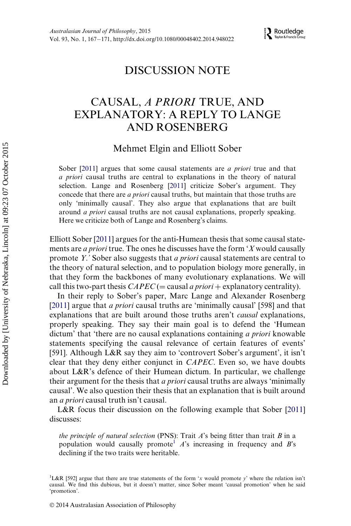### DISCUSSION NOTE

## CAUSAL, A PRIORI TRUE, AND EXPLANATORY: A REPLY TO LANGE AND ROSENBERG

Mehmet Elgin and Elliott Sober

Sober [[2011\]](#page-5-0) argues that some causal statements are *a priori* true and that a priori causal truths are central to explanations in the theory of natural selection. Lange and Rosenberg [\[2011](#page-5-1)] criticize Sober's argument. They concede that there are a priori causal truths, but maintain that those truths are only 'minimally causal'. They also argue that explanations that are built around a priori causal truths are not causal explanations, properly speaking. Here we criticize both of Lange and Rosenberg's claims.

Elliott Sober [[2011\]](#page-5-0) argues for the anti-Humean thesis that some causal statements are *a priori* true. The ones he discusses have the form 'X would causally promote Y.' Sober also suggests that *a priori* causal statements are central to the theory of natural selection, and to population biology more generally, in that they form the backbones of many evolutionary explanations. We will call this two-part thesis  $CAPEC$  (= causal *a priori* + explanatory centrality).

In their reply to Sober's paper, Marc Lange and Alexander Rosenberg [\[2011\]](#page-5-0) argue that *a priori* causal truths are 'minimally causal' [598] and that explanations that are built around those truths aren't *causal* explanations, properly speaking. They say their main goal is to defend the 'Humean dictum' that 'there are no causal explanations containing *a priori* knowable statements specifying the causal relevance of certain features of events' [591]. Although L&R say they aim to 'controvert Sober's argument', it isn't clear that they deny either conjunct in CAPEC. Even so, we have doubts about L&R's defence of their Humean dictum. In particular, we challenge their argument for the thesis that  $a$  priori causal truths are always 'minimally causal'. We also question their thesis that an explanation that is built around an a priori causal truth isn't causal.

L&R focus their discussion on the following example that Sober [\[2011](#page-5-0)] discusses:

the principle of natural selection (PNS): Trait  $A$ 's being fitter than trait  $B$  in a population would causally promote<sup>[1](#page-1-0)</sup>  $A$ 's increasing in frequency and  $B$ 's declining if the two traits were heritable.

<span id="page-1-0"></span><sup>&</sup>lt;sup>1</sup>L&R [592] argue that there are true statements of the form 'x would promote y' where the relation isn't causal. We find this dubious, but it doesn't matter, since Sober meant 'causal promotion' when he said 'promotion'.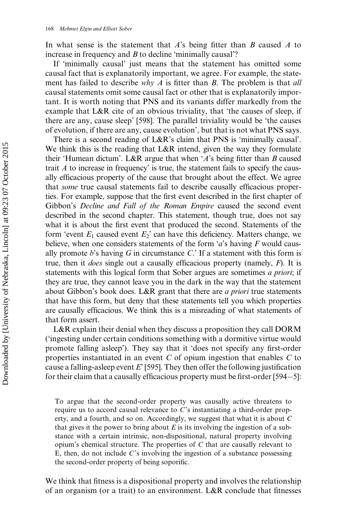In what sense is the statement that  $A$ 's being fitter than  $B$  caused  $A$  to increase in frequency and B to decline 'minimally causal'?

If 'minimally causal' just means that the statement has omitted some causal fact that is explanatorily important, we agree. For example, the statement has failed to describe why  $A$  is fitter than  $B$ . The problem is that all causal statements omit some causal fact or other that is explanatorily important. It is worth noting that PNS and its variants differ markedly from the example that  $L\&R$  cite of an obvious triviality, that 'the causes of sleep, if there are any, cause sleep' [598]. The parallel triviality would be 'the causes of evolution, if there are any, cause evolution', but that is not what PNS says.

There is a second reading of L&R's claim that PNS is 'minimally causal'. We think this is the reading that L&R intend, given the way they formulate their 'Humean dictum'. L&R argue that when 'A's being fitter than  $B$  caused trait  $A$  to increase in frequency' is true, the statement fails to specify the causally efficacious property of the cause that brought about the effect. We agree that some true causal statements fail to describe causally efficacious properties. For example, suppose that the first event described in the first chapter of Gibbon's Decline and Fall of the Roman Empire caused the second event described in the second chapter. This statement, though true, does not say what it is about the first event that produced the second. Statements of the form 'event  $E_1$  caused event  $E_2$ ' can have this deficiency. Matters change, we believe, when one considers statements of the form 'a's having  $F$  would causally promote b's having G in circumstance C.' If a statement with this form is true, then it does single out a causally efficacious property (namely, F). It is statements with this logical form that Sober argues are sometimes a priori; if they are true, they cannot leave you in the dark in the way that the statement about Gibbon's book does. L&R grant that there are *a priori* true statements that have this form, but deny that these statements tell you which properties are causally efficacious. We think this is a misreading of what statements of that form assert.

L&R explain their denial when they discuss a proposition they call DORM ('ingesting under certain conditions something with a dormitive virtue would promote falling asleep'). They say that it 'does not specify any first-order properties instantiated in an event  $C$  of opium ingestion that enables  $C$  to cause a falling-asleep event  $E'$  [595]. They then offer the following justification for their claim that a causally efficacious property must be first-order  $[594-5]$ :

To argue that the second-order property was causally active threatens to require us to accord causal relevance to C's instantiating a third-order property, and a fourth, and so on. Accordingly, we suggest that what it is about C that gives it the power to bring about  $E$  is its involving the ingestion of a substance with a certain intrinsic, non-dispositional, natural property involving opium's chemical structure. The properties of  $C$  that are causally relevant to E, then, do not include  $C$ 's involving the ingestion of a substance possessing the second-order property of being soporific.

We think that fitness is a dispositional property and involves the relationship of an organism (or a trait) to an environment. L&R conclude that fitnesses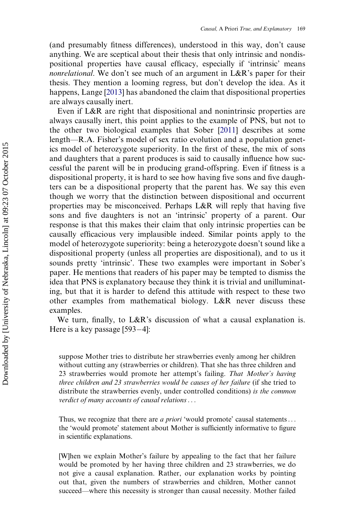(and presumably fitness differences), understood in this way, don't cause anything. We are sceptical about their thesis that only intrinsic and nondispositional properties have causal efficacy, especially if 'intrinsic' means nonrelational. We don't see much of an argument in L&R's paper for their thesis. They mention a looming regress, but don't develop the idea. As it happens, Lange [\[2013](#page-5-2)] has abandoned the claim that dispositional properties are always causally inert.

Even if L&R are right that dispositional and nonintrinsic properties are always causally inert, this point applies to the example of PNS, but not to the other two biological examples that Sober [\[2011](#page-5-0)] describes at some length—R.A. Fisher's model of sex ratio evolution and a population genetics model of heterozygote superiority. In the first of these, the mix of sons and daughters that a parent produces is said to causally influence how successful the parent will be in producing grand-offspring. Even if fitness is a dispositional property, it is hard to see how having five sons and five daughters can be a dispositional property that the parent has. We say this even though we worry that the distinction between dispositional and occurrent properties may be misconceived. Perhaps L&R will reply that having five sons and five daughters is not an 'intrinsic' property of a parent. Our response is that this makes their claim that only intrinsic properties can be causally efficacious very implausible indeed. Similar points apply to the model of heterozygote superiority: being a heterozygote doesn't sound like a dispositional property (unless all properties are dispositional), and to us it sounds pretty 'intrinsic'. These two examples were important in Sober's paper. He mentions that readers of his paper may be tempted to dismiss the idea that PNS is explanatory because they think it is trivial and unilluminating, but that it is harder to defend this attitude with respect to these two other examples from mathematical biology. L&R never discuss these examples.

We turn, finally, to L&R's discussion of what a causal explanation is. Here is a key passage  $[593-4]$ :

suppose Mother tries to distribute her strawberries evenly among her children without cutting any (strawberries or children). That she has three children and 23 strawberries would promote her attempt's failing. That Mother's having three children and 23 strawberries would be causes of her failure (if she tried to distribute the strawberries evenly, under controlled conditions) is the common verdict of many accounts of causal relations...

Thus, we recognize that there are *a priori* 'would promote' causal statements... the 'would promote' statement about Mother is sufficiently informative to figure in scientific explanations.

[W]hen we explain Mother's failure by appealing to the fact that her failure would be promoted by her having three children and 23 strawberries, we do not give a causal explanation. Rather, our explanation works by pointing out that, given the numbers of strawberries and children, Mother cannot succeed—where this necessity is stronger than causal necessity. Mother failed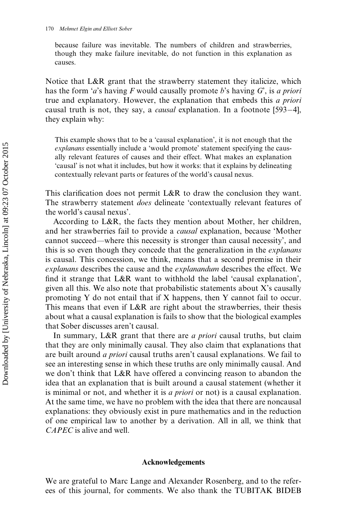because failure was inevitable. The numbers of children and strawberries, though they make failure inevitable, do not function in this explanation as causes.

Notice that L&R grant that the strawberry statement they italicize, which has the form 'a's having F would causally promote b's having  $G$ , is a priori true and explanatory. However, the explanation that embeds this a priori causal truth is not, they say, a *causal* explanation. In a footnote  $[593-4]$ , they explain why:

This example shows that to be a 'causal explanation', it is not enough that the explanans essentially include a 'would promote' statement specifying the causally relevant features of causes and their effect. What makes an explanation 'causal' is not what it includes, but how it works: that it explains by delineating contextually relevant parts or features of the world's causal nexus.

This clarification does not permit L&R to draw the conclusion they want. The strawberry statement *does* delineate 'contextually relevant features of the world's causal nexus'.

According to L&R, the facts they mention about Mother, her children, and her strawberries fail to provide a causal explanation, because 'Mother cannot succeed—where this necessity is stronger than causal necessity', and this is so even though they concede that the generalization in the *explanans* is causal. This concession, we think, means that a second premise in their explanans describes the cause and the explanandum describes the effect. We find it strange that L&R want to withhold the label 'causal explanation', given all this. We also note that probabilistic statements about X's causally promoting Y do not entail that if X happens, then Y cannot fail to occur. This means that even if L&R are right about the strawberries, their thesis about what a causal explanation is fails to show that the biological examples that Sober discusses aren't causal.

In summary, L&R grant that there are *a priori* causal truths, but claim that they are only minimally causal. They also claim that explanations that are built around a priori causal truths aren't causal explanations. We fail to see an interesting sense in which these truths are only minimally causal. And we don't think that L&R have offered a convincing reason to abandon the idea that an explanation that is built around a causal statement (whether it is minimal or not, and whether it is *a priori* or not) is a causal explanation. At the same time, we have no problem with the idea that there are noncausal explanations: they obviously exist in pure mathematics and in the reduction of one empirical law to another by a derivation. All in all, we think that CAPEC is alive and well.

#### Acknowledgements

We are grateful to Marc Lange and Alexander Rosenberg, and to the referees of this journal, for comments. We also thank the TUBITAK BIDEB